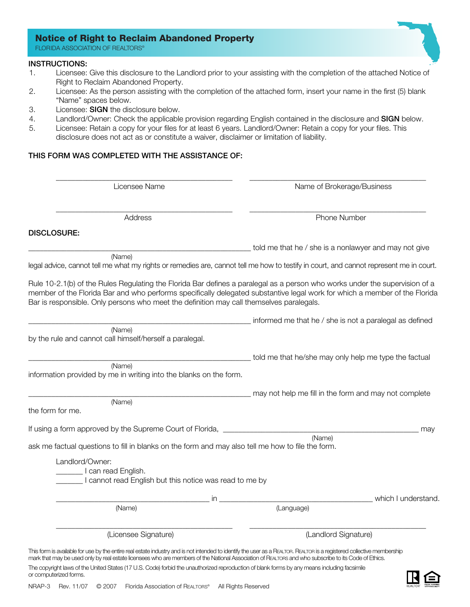# **Notice of Right to Reclaim Abandoned Property**

FLORIDA ASSOCIATION OF REALTORS®

#### INSTRUCTIONS:

- 1. Licensee: Give this disclosure to the Landlord prior to your assisting with the completion of the attached Notice of Right to Reclaim Abandoned Property.
- 2. Licensee: As the person assisting with the completion of the attached form, insert your name in the first (5) blank "Name" spaces below.
- 3. Licensee: SIGN the disclosure below.
- 4. Landlord/Owner: Check the applicable provision regarding English contained in the disclosure and SIGN below.
- 5. Licensee: Retain a copy for your files for at least 6 years. Landlord/Owner: Retain a copy for your files. This disclosure does not act as or constitute a waiver, disclaimer or limitation of liability.

## THIS FORM WAS COMPLETED WITH THE ASSISTANCE OF:

Licensee Name Name of Brokerage/Business

Address **Phone Number** 

told me that he / she is a nonlawyer and may not give

#### DISCLOSURE:

(Name)

legal advice, cannot tell me what my rights or remedies are, cannot tell me how to testify in court, and cannot represent me in court.

\_\_\_\_\_\_\_\_\_\_\_\_\_\_\_\_\_\_\_\_\_\_\_\_\_\_\_\_\_\_\_\_\_\_\_\_\_\_\_\_\_\_\_\_\_\_ \_\_\_\_\_\_\_\_\_\_\_\_\_\_\_\_\_\_\_\_\_\_\_\_\_\_\_\_\_\_\_\_\_\_\_\_\_\_\_\_\_\_\_\_\_\_

\_\_\_\_\_\_\_\_\_\_\_\_\_\_\_\_\_\_\_\_\_\_\_\_\_\_\_\_\_\_\_\_\_\_\_\_\_\_\_\_\_\_\_\_\_\_ \_\_\_\_\_\_\_\_\_\_\_\_\_\_\_\_\_\_\_\_\_\_\_\_\_\_\_\_\_\_\_\_\_\_\_\_\_\_\_\_\_\_\_\_\_\_

Rule 10-2.1(b) of the Rules Regulating the Florida Bar defines a paralegal as a person who works under the supervision of a member of the Florida Bar and who performs specifically delegated substantive legal work for which a member of the Florida Bar is responsible. Only persons who meet the definition may call themselves paralegals.

informed me that he / she is not a paralegal as defined (Name)

by the rule and cannot call himself/herself a paralegal.

\_\_\_\_\_\_\_\_\_\_\_\_\_\_\_\_\_\_\_\_\_\_\_\_\_\_\_\_\_\_\_\_\_\_\_\_\_\_\_\_\_\_\_\_\_\_\_\_\_\_\_\_\_\_\_\_\_\_ told me that he/she may only help me type the factual

(Name) information provided by me in writing into the blanks on the form.

|          | $- -$<br>$ -$<br>---<br>- ----<br>TIII<br>anc<br>101<br>ਜ਼ਰਾ<br>ے 1۔<br>. |
|----------|---------------------------------------------------------------------------|
| $\bf{v}$ |                                                                           |

the form for me.

| If using a form approved by the Supreme Court of Florida, |        |
|-----------------------------------------------------------|--------|
|                                                           | (Name) |

ask me factual questions to fill in blanks on the form and may also tell me how to file the form.

| Landlord/Owner:<br>can read English.<br>cannot read English but this notice was read to me by                                                                                                                                                                                                                                  |    |                      |                     |
|--------------------------------------------------------------------------------------------------------------------------------------------------------------------------------------------------------------------------------------------------------------------------------------------------------------------------------|----|----------------------|---------------------|
|                                                                                                                                                                                                                                                                                                                                | in |                      | which I understand. |
| (Name)                                                                                                                                                                                                                                                                                                                         |    | (Language)           |                     |
| (Licensee Signature)                                                                                                                                                                                                                                                                                                           |    | (Landlord Signature) |                     |
| This form is available for use by the entire real estate industry and is not intended to identify the user as a REALTOR. REALTOR is a registered collective membership<br>mark that may be used only by real estate licensees who are members of the National Association of REALTORS and who subscribe to its Code of Ethics. |    |                      |                     |

The copyright laws of the United States (17 U.S. Code) forbid the unauthorized reproduction of blank forms by any means including facsimile or computerized forms.